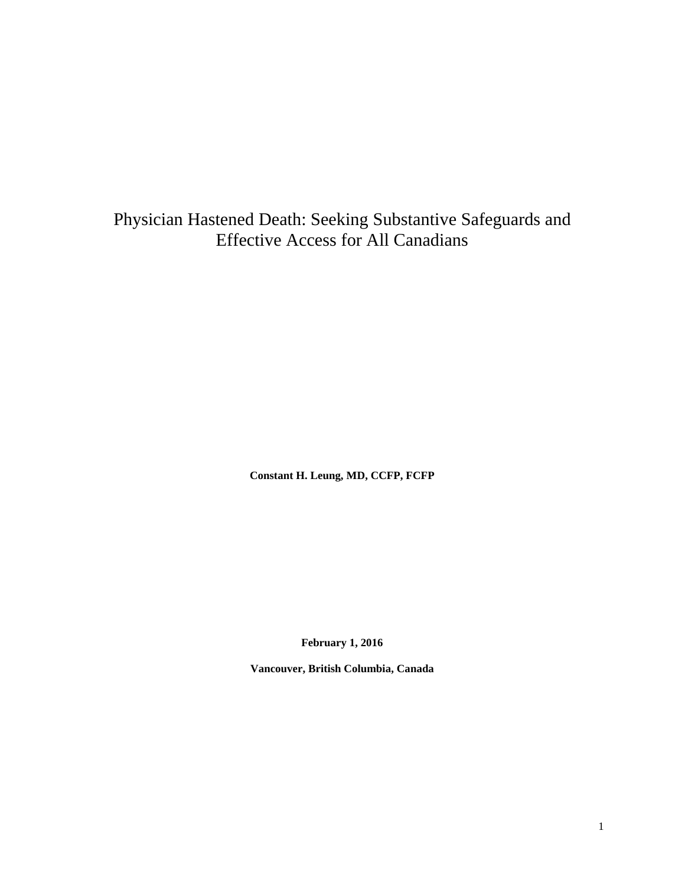Physician Hastened Death: Seeking Substantive Safeguards and Effective Access for All Canadians

**Constant H. Leung, MD, CCFP, FCFP**

**February 1, 2016**

**Vancouver, British Columbia, Canada**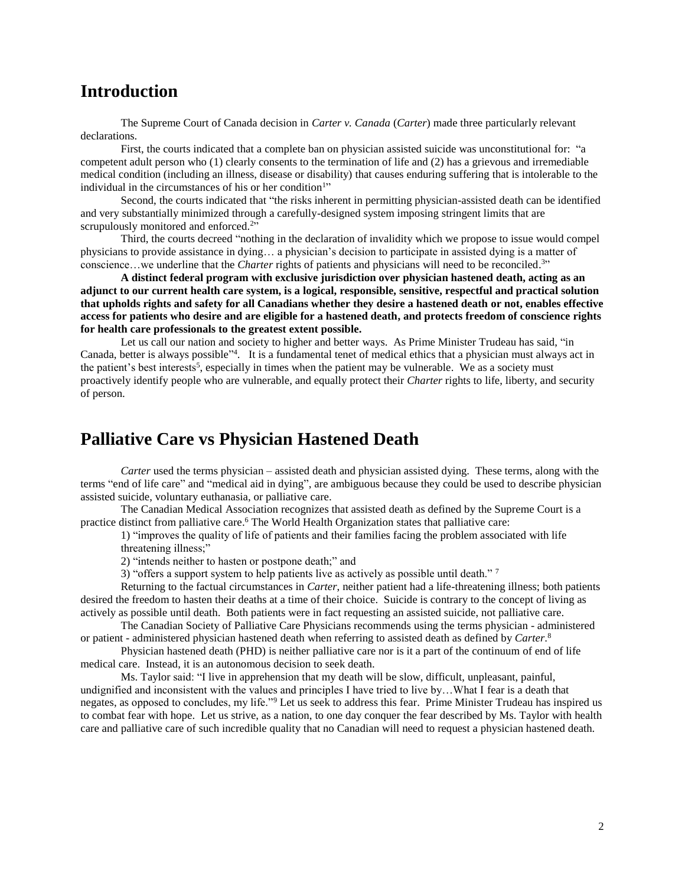# **Introduction**

The Supreme Court of Canada decision in *Carter v. Canada* (*Carter*) made three particularly relevant declarations.

First, the courts indicated that a complete ban on physician assisted suicide was unconstitutional for: "a competent adult person who (1) clearly consents to the termination of life and (2) has a grievous and irremediable medical condition (including an illness, disease or disability) that causes enduring suffering that is intolerable to the individual in the circumstances of his or her condition<sup>1</sup>"

Second, the courts indicated that "the risks inherent in permitting physician-assisted death can be identified and very substantially minimized through a carefully-designed system imposing stringent limits that are scrupulously monitored and enforced.<sup>2</sup>"

Third, the courts decreed "nothing in the declaration of invalidity which we propose to issue would compel physicians to provide assistance in dying… a physician's decision to participate in assisted dying is a matter of conscience...we underline that the *[Charter](http://www.canlii.org/en/ca/laws/stat/schedule-b-to-the-canada-act-1982-uk-1982-c-11/latest/schedule-b-to-the-canada-act-1982-uk-1982-c-11.html)* rights of patients and physicians will need to be reconciled.<sup>3</sup>"

**A distinct federal program with exclusive jurisdiction over physician hastened death, acting as an adjunct to our current health care system, is a logical, responsible, sensitive, respectful and practical solution that upholds rights and safety for all Canadians whether they desire a hastened death or not, enables effective access for patients who desire and are eligible for a hastened death, and protects freedom of conscience rights for health care professionals to the greatest extent possible.** 

Let us call our nation and society to higher and better ways. As Prime Minister Trudeau has said, "in Canada, better is always possible"<sup>4</sup>. It is a fundamental tenet of medical ethics that a physician must always act in the patient's best interests<sup>5</sup>, especially in times when the patient may be vulnerable. We as a society must proactively identify people who are vulnerable, and equally protect their *Charter* rights to life, liberty, and security of person.

# **Palliative Care vs Physician Hastened Death**

*Carter* used the terms physician – assisted death and physician assisted dying. These terms, along with the terms "end of life care" and "medical aid in dying", are ambiguous because they could be used to describe physician assisted suicide, voluntary euthanasia, or palliative care.

The Canadian Medical Association recognizes that assisted death as defined by the Supreme Court is a practice distinct from palliative care. <sup>6</sup> The World Health Organization states that palliative care:

1) "improves the quality of life of patients and their families facing the problem associated with life threatening illness;"

2) "intends neither to hasten or postpone death;" and

3) "offers a support system to help patients live as actively as possible until death."  $\frac{7}{1}$ 

Returning to the factual circumstances in *Carter*, neither patient had a life-threatening illness; both patients desired the freedom to hasten their deaths at a time of their choice. Suicide is contrary to the concept of living as actively as possible until death. Both patients were in fact requesting an assisted suicide, not palliative care.

The Canadian Society of Palliative Care Physicians recommends using the terms physician - administered or patient - administered physician hastened death when referring to assisted death as defined by *Carter*. 8

Physician hastened death (PHD) is neither palliative care nor is it a part of the continuum of end of life medical care. Instead, it is an autonomous decision to seek death.

Ms. Taylor said: "I live in apprehension that my death will be slow, difficult, unpleasant, painful, undignified and inconsistent with the values and principles I have tried to live by…What I fear is a death that negates, as opposed to concludes, my life."<sup>9</sup> Let us seek to address this fear. Prime Minister Trudeau has inspired us to combat fear with hope. Let us strive, as a nation, to one day conquer the fear described by Ms. Taylor with health care and palliative care of such incredible quality that no Canadian will need to request a physician hastened death.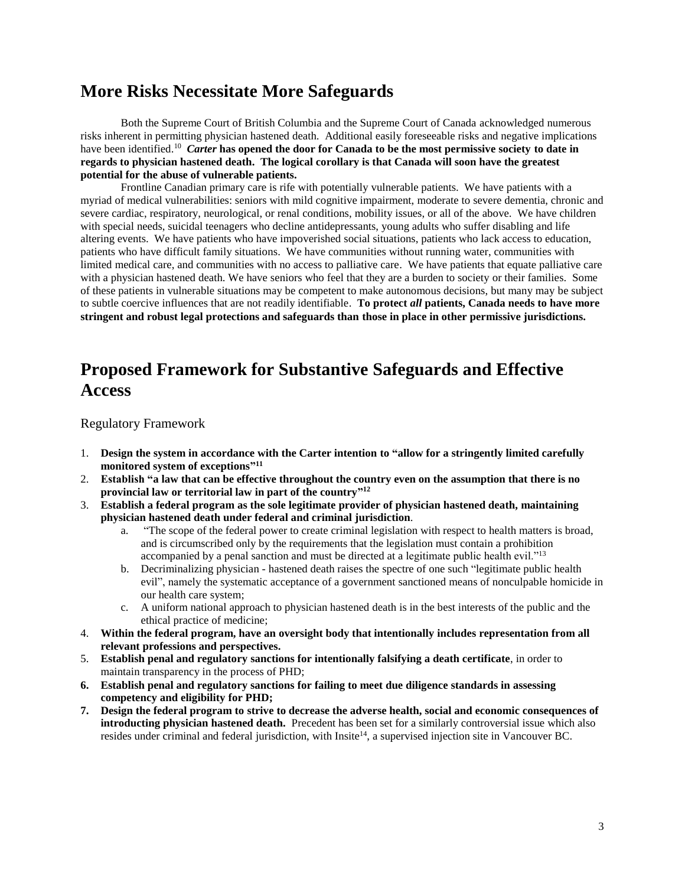# **More Risks Necessitate More Safeguards**

Both the Supreme Court of British Columbia and the Supreme Court of Canada acknowledged numerous risks inherent in permitting physician hastened death. Additional easily foreseeable risks and negative implications have been identified.<sup>10</sup> Carter has opened the door for Canada to be the most permissive society to date in **regards to physician hastened death. The logical corollary is that Canada will soon have the greatest potential for the abuse of vulnerable patients.**

Frontline Canadian primary care is rife with potentially vulnerable patients. We have patients with a myriad of medical vulnerabilities: seniors with mild cognitive impairment, moderate to severe dementia, chronic and severe cardiac, respiratory, neurological, or renal conditions, mobility issues, or all of the above. We have children with special needs, suicidal teenagers who decline antidepressants, young adults who suffer disabling and life altering events. We have patients who have impoverished social situations, patients who lack access to education, patients who have difficult family situations. We have communities without running water, communities with limited medical care, and communities with no access to palliative care. We have patients that equate palliative care with a physician hastened death. We have seniors who feel that they are a burden to society or their families. Some of these patients in vulnerable situations may be competent to make autonomous decisions, but many may be subject to subtle coercive influences that are not readily identifiable. **To protect** *all* **patients, Canada needs to have more stringent and robust legal protections and safeguards than those in place in other permissive jurisdictions.**

# **Proposed Framework for Substantive Safeguards and Effective Access**

Regulatory Framework

- 1. **Design the system in accordance with the Carter intention to "allow for a stringently limited carefully monitored system of exceptions" 11**
- 2. **Establish "a law that can be effective throughout the country even on the assumption that there is no provincial law or territorial law in part of the country" 12**
- 3. **Establish a federal program as the sole legitimate provider of physician hastened death, maintaining physician hastened death under federal and criminal jurisdiction**.
	- a. "The scope of the federal power to create criminal legislation with respect to health matters is broad, and is circumscribed only by the requirements that the legislation must contain a prohibition accompanied by a penal sanction and must be directed at a legitimate public health evil."<sup>13</sup>
	- b. Decriminalizing physician hastened death raises the spectre of one such "legitimate public health evil", namely the systematic acceptance of a government sanctioned means of nonculpable homicide in our health care system;
	- c. A uniform national approach to physician hastened death is in the best interests of the public and the ethical practice of medicine;
- 4. **Within the federal program, have an oversight body that intentionally includes representation from all relevant professions and perspectives.**
- 5. **Establish penal and regulatory sanctions for intentionally falsifying a death certificate**, in order to maintain transparency in the process of PHD;
- **6. Establish penal and regulatory sanctions for failing to meet due diligence standards in assessing competency and eligibility for PHD;**
- **7. Design the federal program to strive to decrease the adverse health, social and economic consequences of introducting physician hastened death.** Precedent has been set for a similarly controversial issue which also resides under criminal and federal jurisdiction, with Insite<sup>14</sup>, a supervised injection site in Vancouver BC.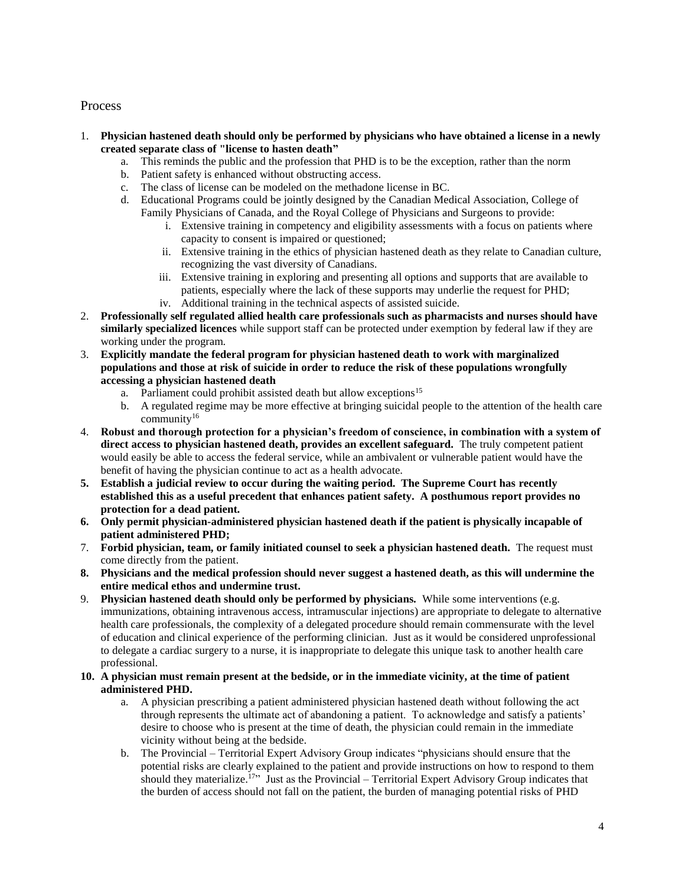#### Process

- 1. **Physician hastened death should only be performed by physicians who have obtained a license in a newly created separate class of "license to hasten death"**
	- a. This reminds the public and the profession that PHD is to be the exception, rather than the norm
	- b. Patient safety is enhanced without obstructing access.
	- c. The class of license can be modeled on the methadone license in BC.
	- d. Educational Programs could be jointly designed by the Canadian Medical Association, College of Family Physicians of Canada, and the Royal College of Physicians and Surgeons to provide:
		- i. Extensive training in competency and eligibility assessments with a focus on patients where capacity to consent is impaired or questioned;
		- ii. Extensive training in the ethics of physician hastened death as they relate to Canadian culture, recognizing the vast diversity of Canadians.
		- iii. Extensive training in exploring and presenting all options and supports that are available to patients, especially where the lack of these supports may underlie the request for PHD;
		- iv. Additional training in the technical aspects of assisted suicide.
- 2. **Professionally self regulated allied health care professionals such as pharmacists and nurses should have similarly specialized licences** while support staff can be protected under exemption by federal law if they are working under the program.
- 3. **Explicitly mandate the federal program for physician hastened death to work with marginalized populations and those at risk of suicide in order to reduce the risk of these populations wrongfully accessing a physician hastened death**
	- a. Parliament could prohibit assisted death but allow exceptions<sup>15</sup>
	- b. A regulated regime may be more effective at bringing suicidal people to the attention of the health care community<sup>16</sup>
- 4. **Robust and thorough protection for a physician's freedom of conscience, in combination with a system of direct access to physician hastened death, provides an excellent safeguard.** The truly competent patient would easily be able to access the federal service, while an ambivalent or vulnerable patient would have the benefit of having the physician continue to act as a health advocate.
- **5. Establish a judicial review to occur during the waiting period. The Supreme Court has recently established this as a useful precedent that enhances patient safety. A posthumous report provides no protection for a dead patient.**
- **6. Only permit physician-administered physician hastened death if the patient is physically incapable of patient administered PHD;**
- 7. **Forbid physician, team, or family initiated counsel to seek a physician hastened death.** The request must come directly from the patient.
- **8. Physicians and the medical profession should never suggest a hastened death, as this will undermine the entire medical ethos and undermine trust.**
- 9. **Physician hastened death should only be performed by physicians.** While some interventions (e.g. immunizations, obtaining intravenous access, intramuscular injections) are appropriate to delegate to alternative health care professionals, the complexity of a delegated procedure should remain commensurate with the level of education and clinical experience of the performing clinician. Just as it would be considered unprofessional to delegate a cardiac surgery to a nurse, it is inappropriate to delegate this unique task to another health care professional.
- **10. A physician must remain present at the bedside, or in the immediate vicinity, at the time of patient administered PHD.** 
	- a. A physician prescribing a patient administered physician hastened death without following the act through represents the ultimate act of abandoning a patient. To acknowledge and satisfy a patients' desire to choose who is present at the time of death, the physician could remain in the immediate vicinity without being at the bedside.
	- b. The Provincial Territorial Expert Advisory Group indicates "physicians should ensure that the potential risks are clearly explained to the patient and provide instructions on how to respond to them should they materialize.<sup>17</sup>" Just as the Provincial – Territorial Expert Advisory Group indicates that the burden of access should not fall on the patient, the burden of managing potential risks of PHD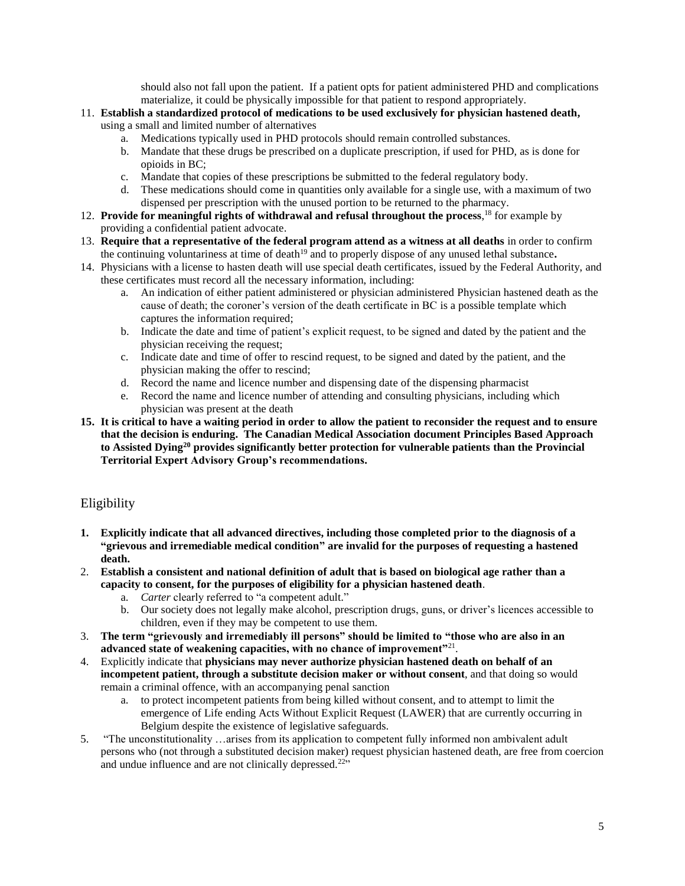should also not fall upon the patient. If a patient opts for patient administered PHD and complications materialize, it could be physically impossible for that patient to respond appropriately.

- 11. **Establish a standardized protocol of medications to be used exclusively for physician hastened death,** using a small and limited number of alternatives
	- a. Medications typically used in PHD protocols should remain controlled substances.
	- b. Mandate that these drugs be prescribed on a duplicate prescription, if used for PHD, as is done for opioids in BC;
	- c. Mandate that copies of these prescriptions be submitted to the federal regulatory body.
	- d. These medications should come in quantities only available for a single use, with a maximum of two dispensed per prescription with the unused portion to be returned to the pharmacy.
- 12. **Provide for meaningful rights of withdrawal and refusal throughout the process**, <sup>18</sup> for example by providing a confidential patient advocate.
- 13. **Require that a representative of the federal program attend as a witness at all deaths** in order to confirm the continuing voluntariness at time of death<sup>19</sup> and to properly dispose of any unused lethal substance**.**
- 14. Physicians with a license to hasten death will use special death certificates, issued by the Federal Authority, and these certificates must record all the necessary information, including:
	- a. An indication of either patient administered or physician administered Physician hastened death as the cause of death; the coroner's version of the death certificate in BC is a possible template which captures the information required;
	- b. Indicate the date and time of patient's explicit request, to be signed and dated by the patient and the physician receiving the request;
	- c. Indicate date and time of offer to rescind request, to be signed and dated by the patient, and the physician making the offer to rescind;
	- d. Record the name and licence number and dispensing date of the dispensing pharmacist
	- e. Record the name and licence number of attending and consulting physicians, including which physician was present at the death
- **15. It is critical to have a waiting period in order to allow the patient to reconsider the request and to ensure that the decision is enduring. The Canadian Medical Association document Principles Based Approach to Assisted Dying<sup>20</sup> provides significantly better protection for vulnerable patients than the Provincial Territorial Expert Advisory Group's recommendations.**

#### Eligibility

- **1. Explicitly indicate that all advanced directives, including those completed prior to the diagnosis of a "grievous and irremediable medical condition" are invalid for the purposes of requesting a hastened death.**
- 2. **Establish a consistent and national definition of adult that is based on biological age rather than a capacity to consent, for the purposes of eligibility for a physician hastened death**.
	- a. *Carter* clearly referred to "a competent adult."
	- b. Our society does not legally make alcohol, prescription drugs, guns, or driver's licences accessible to children, even if they may be competent to use them.
- 3. **The term "grievously and irremediably ill persons" should be limited to "those who are also in an advanced state of weakening capacities, with no chance of improvement"**<sup>21</sup> .
- 4. Explicitly indicate that **physicians may never authorize physician hastened death on behalf of an incompetent patient, through a substitute decision maker or without consent**, and that doing so would remain a criminal offence, with an accompanying penal sanction
	- a. to protect incompetent patients from being killed without consent, and to attempt to limit the emergence of Life ending Acts Without Explicit Request (LAWER) that are currently occurring in Belgium despite the existence of legislative safeguards.
- 5. "The unconstitutionality …arises from its application to competent fully informed non ambivalent adult persons who (not through a substituted decision maker) request physician hastened death, are free from coercion and undue influence and are not clinically depressed.<sup>22</sup>"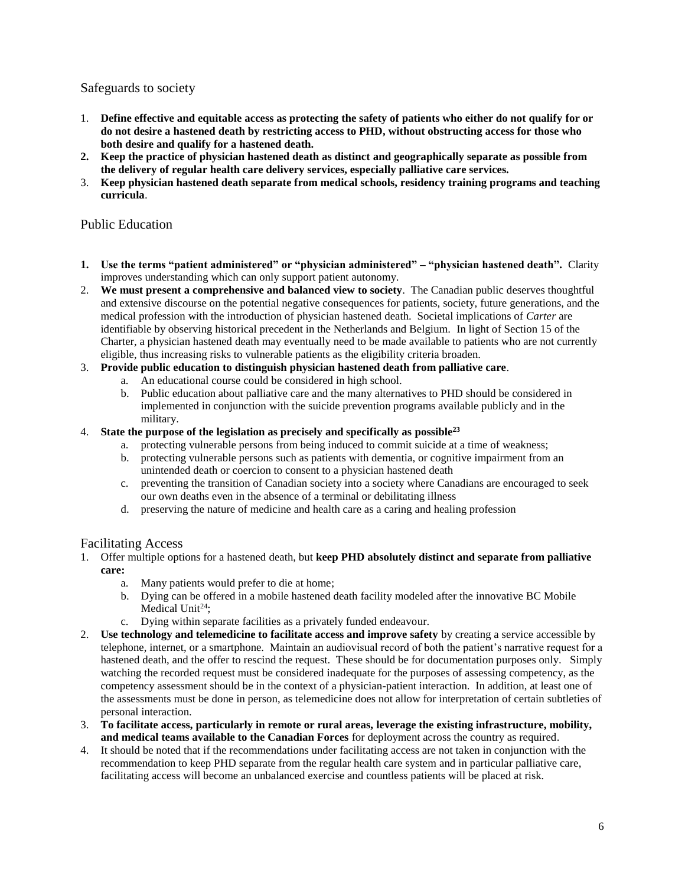Safeguards to society

- 1. **Define effective and equitable access as protecting the safety of patients who either do not qualify for or do not desire a hastened death by restricting access to PHD, without obstructing access for those who both desire and qualify for a hastened death.**
- **2. Keep the practice of physician hastened death as distinct and geographically separate as possible from the delivery of regular health care delivery services, especially palliative care services.**
- 3. **Keep physician hastened death separate from medical schools, residency training programs and teaching curricula**.

#### Public Education

- **1. Use the terms "patient administered" or "physician administered" – "physician hastened death".** Clarity improves understanding which can only support patient autonomy.
- 2. **We must present a comprehensive and balanced view to society**. The Canadian public deserves thoughtful and extensive discourse on the potential negative consequences for patients, society, future generations, and the medical profession with the introduction of physician hastened death. Societal implications of *Carter* are identifiable by observing historical precedent in the Netherlands and Belgium. In light of Section 15 of the Charter, a physician hastened death may eventually need to be made available to patients who are not currently eligible, thus increasing risks to vulnerable patients as the eligibility criteria broaden.
- 3. **Provide public education to distinguish physician hastened death from palliative care**.
	- a. An educational course could be considered in high school.
	- b. Public education about palliative care and the many alternatives to PHD should be considered in implemented in conjunction with the suicide prevention programs available publicly and in the military.
- 4. **State the purpose of the legislation as precisely and specifically as possible<sup>23</sup>**
	- a. protecting vulnerable persons from being induced to commit suicide at a time of weakness;
	- b. protecting vulnerable persons such as patients with dementia, or cognitive impairment from an unintended death or coercion to consent to a physician hastened death
	- c. preventing the transition of Canadian society into a society where Canadians are encouraged to seek our own deaths even in the absence of a terminal or debilitating illness
	- d. preserving the nature of medicine and health care as a caring and healing profession

#### Facilitating Access

- 1. Offer multiple options for a hastened death, but **keep PHD absolutely distinct and separate from palliative care:** 
	- a. Many patients would prefer to die at home;
	- b. Dying can be offered in a mobile hastened death facility modeled after the innovative BC Mobile Medical Unit<sup>24</sup>;
	- c. Dying within separate facilities as a privately funded endeavour.
- 2. **Use technology and telemedicine to facilitate access and improve safety** by creating a service accessible by telephone, internet, or a smartphone. Maintain an audiovisual record of both the patient's narrative request for a hastened death, and the offer to rescind the request. These should be for documentation purposes only. Simply watching the recorded request must be considered inadequate for the purposes of assessing competency, as the competency assessment should be in the context of a physician-patient interaction. In addition, at least one of the assessments must be done in person, as telemedicine does not allow for interpretation of certain subtleties of personal interaction.
- 3. **To facilitate access, particularly in remote or rural areas, leverage the existing infrastructure, mobility, and medical teams available to the Canadian Forces** for deployment across the country as required.
- 4. It should be noted that if the recommendations under facilitating access are not taken in conjunction with the recommendation to keep PHD separate from the regular health care system and in particular palliative care, facilitating access will become an unbalanced exercise and countless patients will be placed at risk.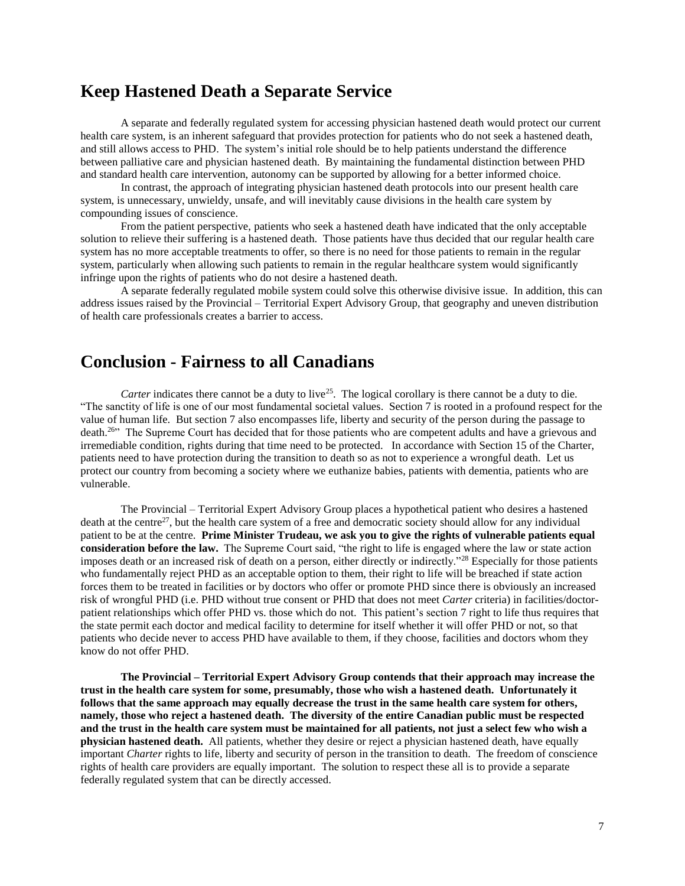## **Keep Hastened Death a Separate Service**

A separate and federally regulated system for accessing physician hastened death would protect our current health care system, is an inherent safeguard that provides protection for patients who do not seek a hastened death, and still allows access to PHD. The system's initial role should be to help patients understand the difference between palliative care and physician hastened death. By maintaining the fundamental distinction between PHD and standard health care intervention, autonomy can be supported by allowing for a better informed choice.

In contrast, the approach of integrating physician hastened death protocols into our present health care system, is unnecessary, unwieldy, unsafe, and will inevitably cause divisions in the health care system by compounding issues of conscience.

From the patient perspective, patients who seek a hastened death have indicated that the only acceptable solution to relieve their suffering is a hastened death. Those patients have thus decided that our regular health care system has no more acceptable treatments to offer, so there is no need for those patients to remain in the regular system, particularly when allowing such patients to remain in the regular healthcare system would significantly infringe upon the rights of patients who do not desire a hastened death.

A separate federally regulated mobile system could solve this otherwise divisive issue. In addition, this can address issues raised by the Provincial – Territorial Expert Advisory Group, that geography and uneven distribution of health care professionals creates a barrier to access.

## **Conclusion - Fairness to all Canadians**

*Carter* indicates there cannot be a duty to live<sup>25</sup>. The logical corollary is there cannot be a duty to die. "The sanctity of life is one of our most fundamental societal values. Section 7 is rooted in a profound respect for the value of human life. But section 7 also encompasses life, liberty and security of the person during the passage to death.<sup>26</sup>" The Supreme Court has decided that for those patients who are competent adults and have a grievous and irremediable condition, rights during that time need to be protected. In accordance with Section 15 of the Charter, patients need to have protection during the transition to death so as not to experience a wrongful death. Let us protect our country from becoming a society where we euthanize babies, patients with dementia, patients who are vulnerable.

The Provincial – Territorial Expert Advisory Group places a hypothetical patient who desires a hastened death at the centre<sup>27</sup>, but the health care system of a free and democratic society should allow for any individual patient to be at the centre. **Prime Minister Trudeau, we ask you to give the rights of vulnerable patients equal consideration before the law.** The Supreme Court said, "the right to life is engaged where the law or state action imposes death or an increased risk of death on a person, either directly or indirectly."<sup>28</sup> Especially for those patients who fundamentally reject PHD as an acceptable option to them, their right to life will be breached if state action forces them to be treated in facilities or by doctors who offer or promote PHD since there is obviously an increased risk of wrongful PHD (i.e. PHD without true consent or PHD that does not meet *Carter* criteria) in facilities/doctorpatient relationships which offer PHD vs. those which do not. This patient's section 7 right to life thus requires that the state permit each doctor and medical facility to determine for itself whether it will offer PHD or not, so that patients who decide never to access PHD have available to them, if they choose, facilities and doctors whom they know do not offer PHD.

**The Provincial – Territorial Expert Advisory Group contends that their approach may increase the trust in the health care system for some, presumably, those who wish a hastened death. Unfortunately it follows that the same approach may equally decrease the trust in the same health care system for others, namely, those who reject a hastened death. The diversity of the entire Canadian public must be respected and the trust in the health care system must be maintained for all patients, not just a select few who wish a physician hastened death.** All patients, whether they desire or reject a physician hastened death, have equally important *Charter* rights to life, liberty and security of person in the transition to death. The freedom of conscience rights of health care providers are equally important. The solution to respect these all is to provide a separate federally regulated system that can be directly accessed.